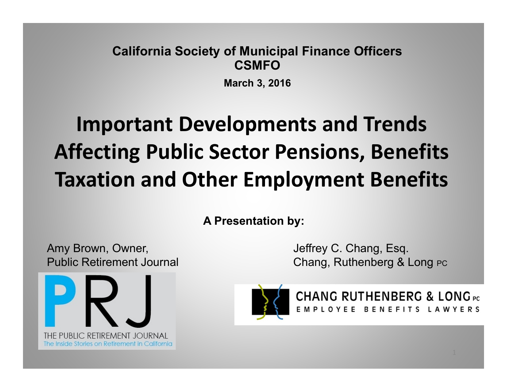#### **California Society of Municipal Finance Officers CSMFO**

**March 3, 2016**

## **Important Developments and Trends Affecting Public Sector Pensions, Benefits Taxation and Other Employment Benefits**

**A Presentation by:**

Amy Brown, Owner, The Company School and School and Jeffrey C. Chang, Esq.



Public Retirement Journal Chang, Ruthenberg & Long PC



**CHANG RUTHENBERG & LONG PC** EMPLOYEE BENEFITS LAWYERS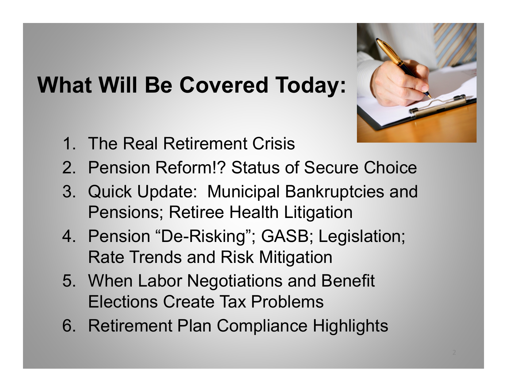### **What Will Be Covered Today:**



- 1. The Real Retirement Crisis
- 2. Pension Reform!? Status of Secure Choice
- 3. Quick Update: Municipal Bankruptcies and Pensions; Retiree Health Litigation
- 4. Pension "De-Risking"; GASB; Legislation; Rate Trends and Risk Mitigation
- 5. When Labor Negotiations and Benefit Elections Create Tax Problems
- 6. Retirement Plan Compliance Highlights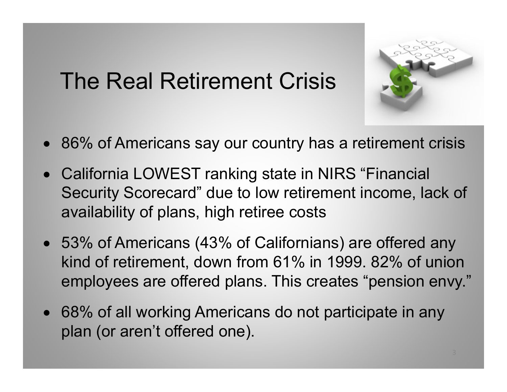## The Real Retirement Crisis



- 86% of Americans say our country has a retirement crisis
- California LOWEST ranking state in NIRS "Financial Security Scorecard" due to low retirement income, lack of availability of plans, high retiree costs
- 53% of Americans (43% of Californians) are offered any kind of retirement, down from 61% in 1999. 82% of union employees are offered plans. This creates "pension envy."
- 68% of all working Americans do not participate in any plan (or aren't offered one).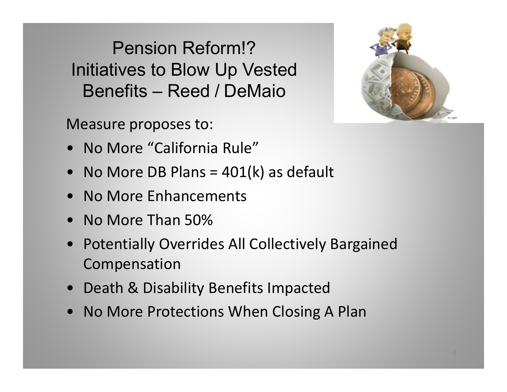Pension Reform!?Initiatives to Blow Up Vested Benefits – Reed / DeMaio

Measure proposes to:

- No More "California Rule"
- •No More DB Plans =  $401(k)$  as default
- No More Enhancements
- •No More Than 50%
- • Potentially Overrides All Collectively Bargained Compensation
- Death & Disability Benefits Impacted
- No More Protections When Closing A Plan

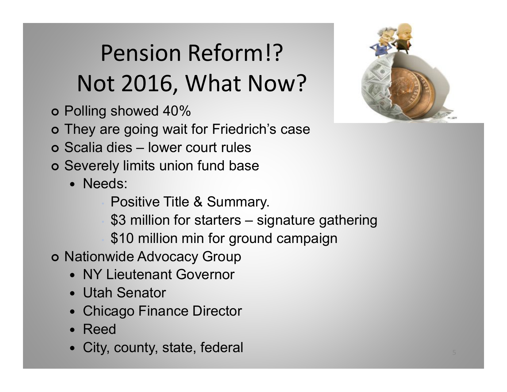# Pension Reform!?Not 2016, What Now?

- Polling showed 40%
- They are going wait for Friedrich's case
- Scalia dies lower court rules
- Severely limits union fund base
	- Needs:
		- Positive Title & Summary.
		- \$3 million for starters signature gathering
		- \$10 million min for ground campaign
- o Nationwide Advocacy Group
	- NY Lieutenant Governor
	- Utah Senator
	- $\bullet$ Chicago Finance Director
	- $\bullet$ Reed
	- $\bullet$ City, county, state, federal

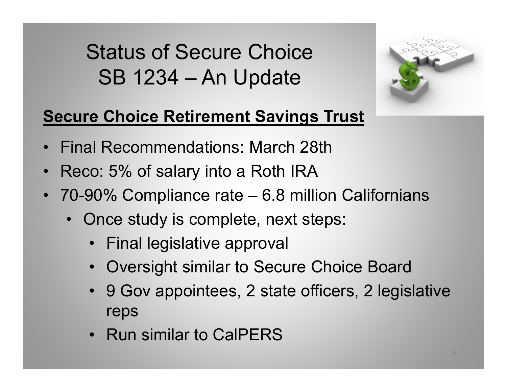Status of Secure ChoiceSB 1234 – An Update



#### **Secure Choice Retirement Savings Trust**

- Final Recommendations: March 28th
- •Reco: 5% of salary into a Roth IRA
- 70-90% Compliance rate 6.8 million Californians
	- Once study is complete, next steps:
		- Final legislative approval
		- Oversight similar to Secure Choice Board
		- 9 Gov appointees, 2 state officers, 2 legislative reps
		- Run similar to CalPERS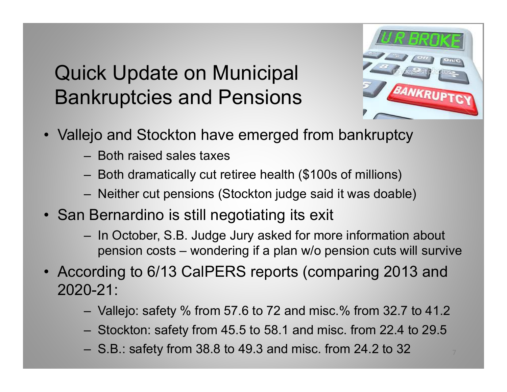#### Quick Update on Municipal Bankruptcies and Pensions



- Vallejo and Stockton have emerged from bankruptcy
	- Both raised sales taxes
	- Both dramatically cut retiree health (\$100s of millions)
	- Neither cut pensions (Stockton judge said it was doable)
- San Bernardino is still negotiating its exit
	- In October, S.B. Judge Jury asked for more information about pension costs – wondering if a plan w/o pension cuts will survive
- According to 6/13 CalPERS reports (comparing 2013 and 2020-21:
	- Vallejo: safety % from 57.6 to 72 and misc.% from 32.7 to 41.2
	- Stockton: safety from 45.5 to 58.1 and misc. from 22.4 to 29.5
	- S.B.: safety from 38.8 to 49.3 and misc. from 24.2 to 32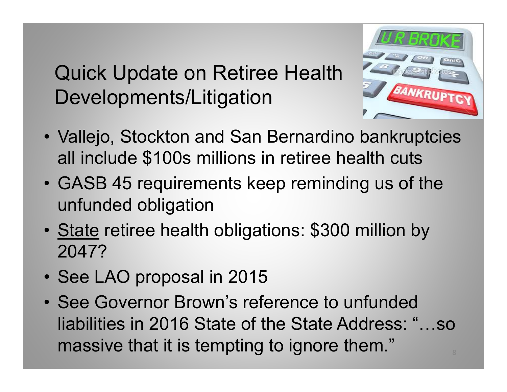Quick Update on Retiree Health Developments/Litigation



- Vallejo, Stockton and San Bernardino bankruptcies all include \$100s millions in retiree health cuts
- GASB 45 requirements keep reminding us of the unfunded obligation
- •State retiree health obligations: \$300 million by 2047?
- See LAO proposal in 2015
- See Governor Brown's reference to unfunded liabilities in 2016 State of the State Address: "…so massive that it is tempting to ignore them."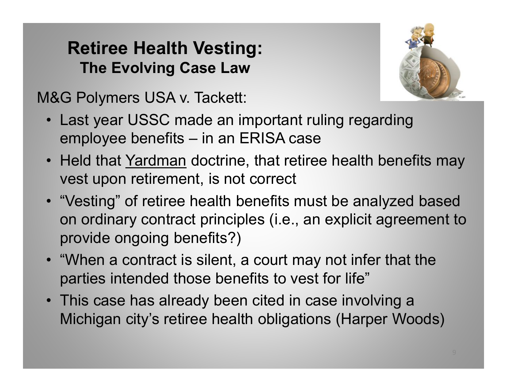#### **Retiree Health Vesting: The Evolving Case Law**



M&G Polymers USA v. Tackett:

- Last year USSC made an important ruling regarding employee benefits – in an ERISA case
- Held that Yardman doctrine, that retiree health benefits may vest upon retirement, is not correct
- "Vesting" of retiree health benefits must be analyzed based on ordinary contract principles (i.e., an explicit agreement to provide ongoing benefits?)
- "When a contract is silent, a court may not infer that the parties intended those benefits to vest for life"
- This case has already been cited in case involving a Michigan city's retiree health obligations (Harper Woods)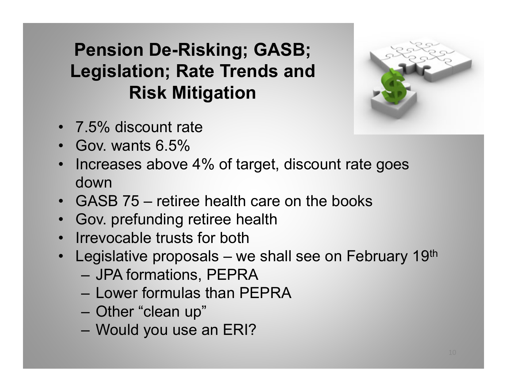#### **Pension De-Risking; GASB; Legislation; Rate Trends and Risk Mitigation**



- 7.5% discount rate
- Gov. wants 6.5%
- Increases above 4% of target, discount rate goes down
- GASB 75 retiree health care on the books
- Gov. prefunding retiree health
- Irrevocable trusts for both
- Legislative proposals we shall see on February 19<sup>th</sup>
	- JPA formations, PEPRA
	- Lower formulas than PEPRA
	- Other "clean up"
	- Would you use an ERI?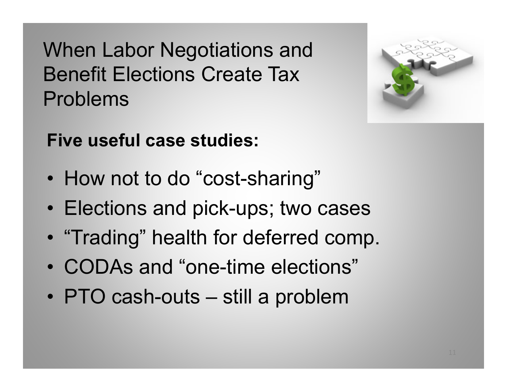When Labor Negotiations and Benefit Elections Create Tax Problems



**Five useful case studies:**

- $\bullet$ How not to do "cost-sharing"
- Elections and pick-ups; two cases
- $\bullet$ "Trading" health for deferred comp.
- CODAs and "one-time elections"
- •PTO cash-outs – still a problem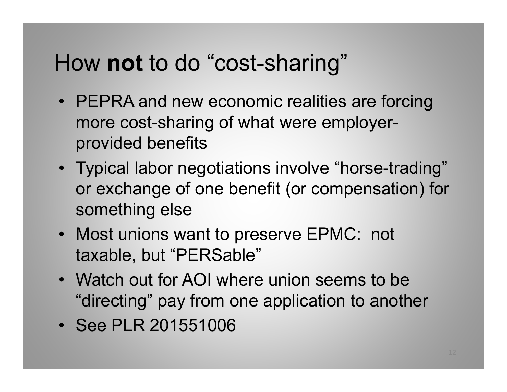### How **not** to do "cost-sharing"

- PEPRA and new economic realities are forcing more cost-sharing of what were employerprovided benefits
- Typical labor negotiations involve "horse-trading" or exchange of one benefit (or compensation) for something else
- Most unions want to preserve EPMC: not taxable, but "PERSable"
- Watch out for AOI where union seems to be "directing" pay from one application to another
- See PLR 201551006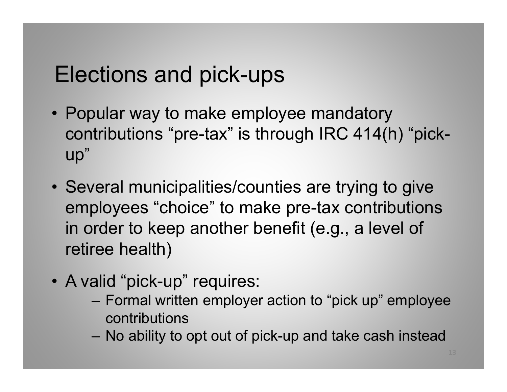### Elections and pick-ups

- Popular way to make employee mandatory contributions "pre-tax" is through IRC 414(h) "pickup"
- Several municipalities/counties are trying to give employees "choice" to make pre-tax contributions in order to keep another benefit (e.g., a level of retiree health)
- A valid "pick-up" requires:
	- Formal written employer action to "pick up" employee contributions
	- No ability to opt out of pick-up and take cash instead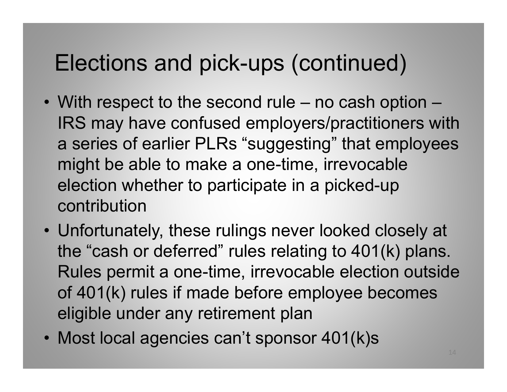### Elections and pick-ups (continued)

- With respect to the second rule no cash option IRS may have confused employers/practitioners with a series of earlier PLRs "suggesting" that employees might be able to make a one-time, irrevocable election whether to participate in a picked-up contribution
- Unfortunately, these rulings never looked closely at the "cash or deferred" rules relating to 401(k) plans. Rules permit a one-time, irrevocable election outside of 401(k) rules if made before employee becomes eligible under any retirement plan
- Most local agencies can't sponsor 401(k)s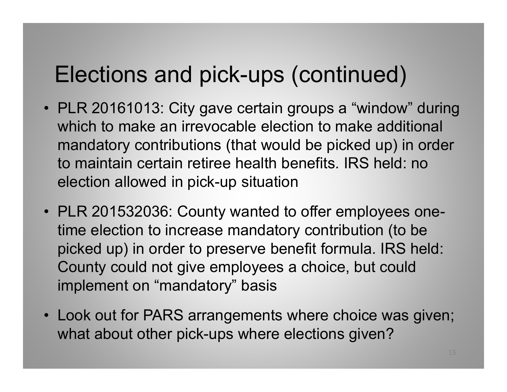#### Elections and pick-ups (continued)

- PLR 20161013: City gave certain groups a "window" during which to make an irrevocable election to make additional mandatory contributions (that would be picked up) in order to maintain certain retiree health benefits. IRS held: no election allowed in pick-up situation
- PLR 201532036: County wanted to offer employees onetime election to increase mandatory contribution (to be picked up) in order to preserve benefit formula. IRS held: County could not give employees a choice, but could implement on "mandatory" basis
- Look out for PARS arrangements where choice was given; what about other pick-ups where elections given?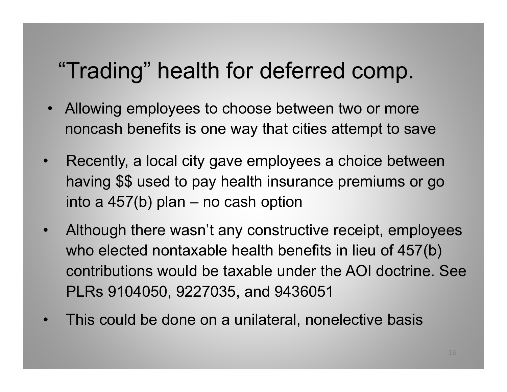### "Trading" health for deferred comp.

- Allowing employees to choose between two or more noncash benefits is one way that cities attempt to save
- $\bullet$  Recently, a local city gave employees a choice between having \$\$ used to pay health insurance premiums or go into a 457(b) plan – no cash option
- $\bullet$  Although there wasn't any constructive receipt, employees who elected nontaxable health benefits in lieu of 457(b) contributions would be taxable under the AOI doctrine. See PLRs 9104050, 9227035, and 9436051
- •This could be done on a unilateral, nonelective basis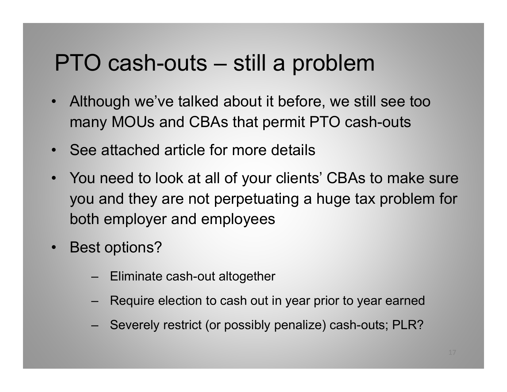#### PTO cash-outs – still a problem

- Although we've talked about it before, we still see too many MOUs and CBAs that permit PTO cash-outs
- •See attached article for more details
- You need to look at all of your clients' CBAs to make sure you and they are not perpetuating a huge tax problem for both employer and employees
- • Best options?
	- Eliminate cash-out altogether
	- Require election to cash out in year prior to year earned
	- Severely restrict (or possibly penalize) cash-outs; PLR?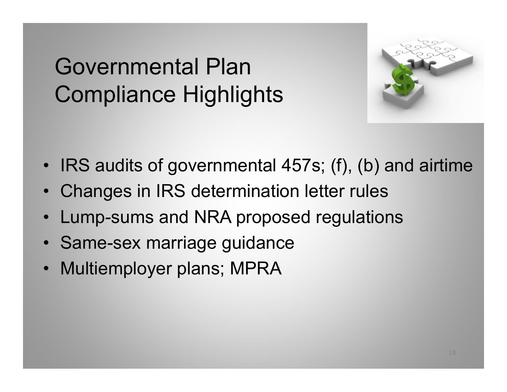## Governmental PlanCompliance Highlights



- IRS audits of governmental 457s; (f), (b) and airtime
- Changes in IRS determination letter rules
- •Lump-sums and NRA proposed regulations
- Same-sex marriage guidance
- Multiemployer plans; MPRA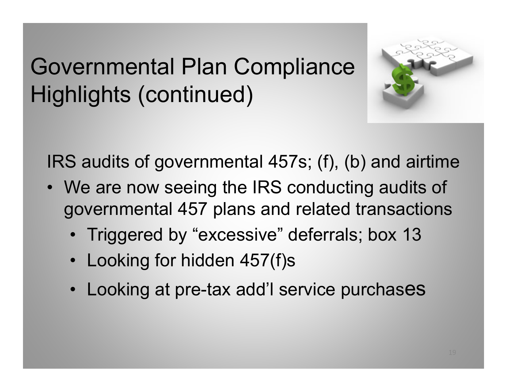## Governmental Plan Compliance Highlights (continued)



IRS audits of governmental 457s; (f), (b) and airtime

- We are now seeing the IRS conducting audits of governmental 457 plans and related transactions
	- Triggered by "excessive" deferrals; box 13
	- Looking for hidden 457(f)s
	- Looking at pre-tax add'l service purchases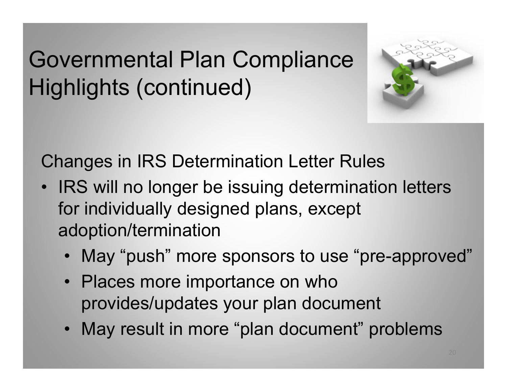## Governmental Plan Compliance Highlights (continued)



Changes in IRS Determination Letter Rules

- • IRS will no longer be issuing determination letters for individually designed plans, except adoption/termination
	- May "push" more sponsors to use "pre-approved"
	- Places more importance on who provides/updates your plan document
	- May result in more "plan document" problems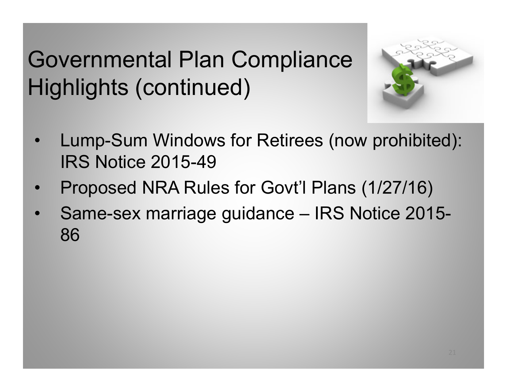## Governmental Plan Compliance Highlights (continued)



- • Lump-Sum Windows for Retirees (now prohibited): IRS Notice 2015-49
- •Proposed NRA Rules for Govt'l Plans (1/27/16)
- • Same-sex marriage guidance – IRS Notice 2015- 86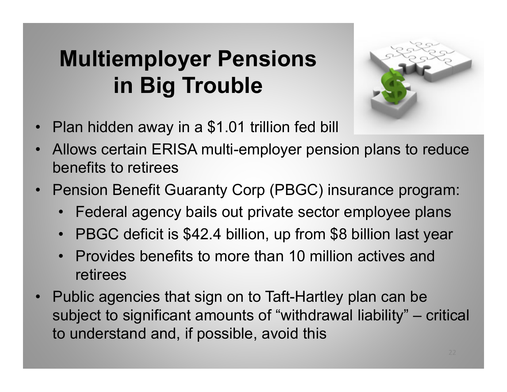## **Multiemployer Pensions in Big Trouble**



- •Plan hidden away in a \$1.01 trillion fed bill
- • Allows certain ERISA multi-employer pension plans to reduce benefits to retirees
- • Pension Benefit Guaranty Corp (PBGC) insurance program:
	- Federal agency bails out private sector employee plans
	- PBGC deficit is \$42.4 billion, up from \$8 billion last year
	- Provides benefits to more than 10 million actives and retirees
- Public agencies that sign on to Taft-Hartley plan can be subject to significant amounts of "withdrawal liability" – critical to understand and, if possible, avoid this